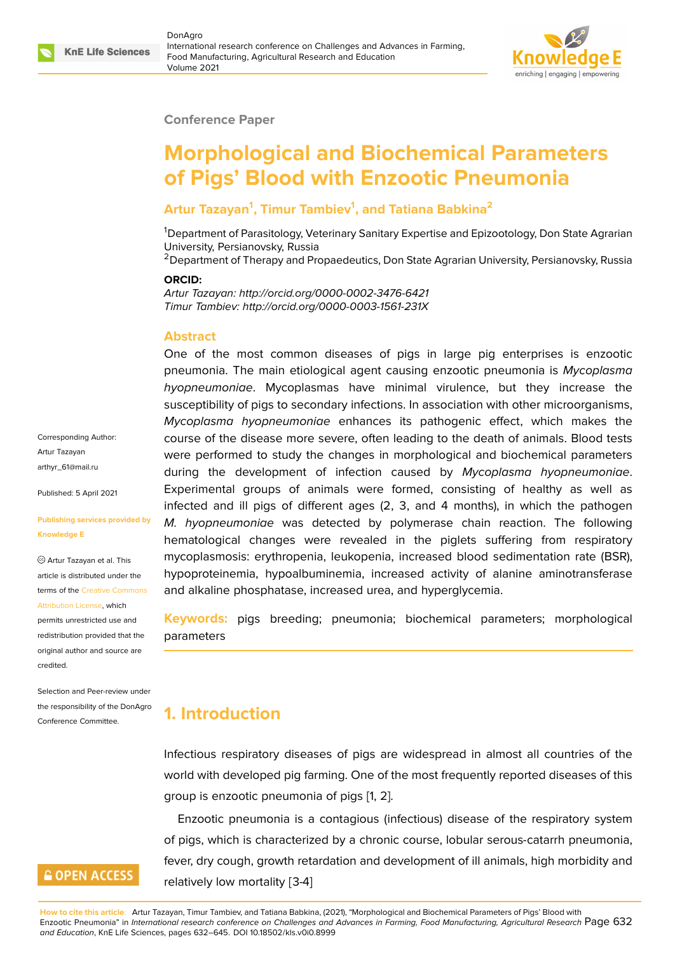

#### **Conference Paper**

# **Morphological and Biochemical Parameters of Pigs' Blood with Enzootic Pneumonia**

### **Artur Tazayan<sup>1</sup> , Timur Tambiev<sup>1</sup> , and Tatiana Babkina<sup>2</sup>**

<sup>1</sup>Department of Parasitology, Veterinary Sanitary Expertise and Epizootology, Don State Agrarian University, Persianovsky, Russia

<sup>2</sup> Department of Therapy and Propaedeutics, Don State Agrarian University, Persianovsky, Russia

#### **ORCID:**

*Artur Tazayan: http://orcid.org/0000-0002-3476-6421 Timur Tambiev: http://orcid.org/0000-0003-1561-231X*

#### **Abstract**

One of the most common diseases of pigs in large pig enterprises is enzootic pneumonia. The main etiological agent causing enzootic pneumonia is *Mycoplasma hyopneumoniae*. Mycoplasmas have minimal virulence, but they increase the susceptibility of pigs to secondary infections. In association with other microorganisms, *Mycoplasma hyopneumoniae* enhances its pathogenic effect, which makes the course of the disease more severe, often leading to the death of animals. Blood tests were performed to study the changes in morphological and biochemical parameters during the development of infection caused by *Mycoplasma hyopneumoniae*. Experimental groups of animals were formed, consisting of healthy as well as infected and ill pigs of different ages (2, 3, and 4 months), in which the pathogen *M. hyopneumoniae* was detected by polymerase chain reaction. The following hematological changes were revealed in the piglets suffering from respiratory mycoplasmosis: erythropenia, leukopenia, increased blood sedimentation rate (BSR), hypoproteinemia, hypoalbuminemia, increased activity of alanine aminotransferase and alkaline phosphatase, increased urea, and hyperglycemia.

**Keywords:** pigs breeding; pneumonia; biochemical parameters; morphological parameters

### **1. Introduction**

Infectious respiratory diseases of pigs are widespread in almost all countries of the world with developed pig farming. One of the most frequently reported diseases of this group is enzootic pneumonia of pigs [1, 2].

Enzootic pneumonia is a contagious (infectious) disease of the respiratory system of pigs, which is characterized by a chronic course, lobular serous-catarrh pneumonia, fever, dry cough, growth retardation a[nd](#page-12-0) [d](#page-12-1)evelopment of ill animals, high morbidity and relatively low mortality [3-4]

Corresponding Author: Artur Tazayan arthyr\_61@mail.ru

Published: 5 April 2021

#### **[Publishing service](mailto:arthyr_61@mail.ru)s provided by Knowledge E**

Artur Tazayan et al. This article is distributed under the terms of the Creative Commons Attribution License, which

permits unrestricted use and redistribution provided that the original auth[or and source are](https://creativecommons.org/licenses/by/4.0/) [credited.](https://creativecommons.org/licenses/by/4.0/)

Selection and Peer-review under the responsibility of the DonAgro Conference Committee.

## **GOPEN ACCESS**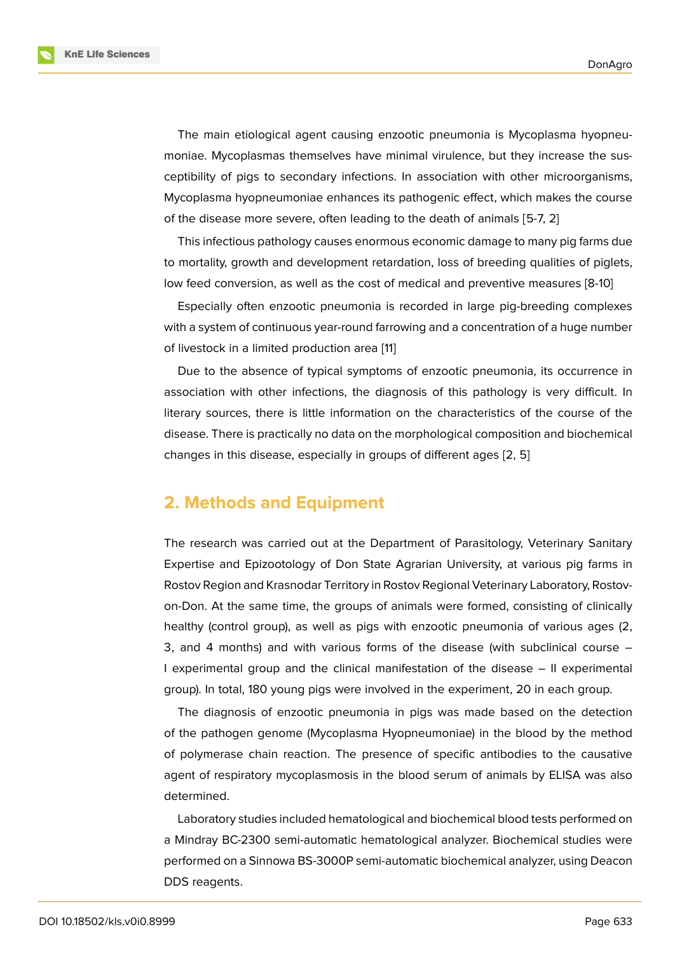The main etiological agent causing enzootic pneumonia is Mycoplasma hyopneumoniae. Mycoplasmas themselves have minimal virulence, but they increase the susceptibility of pigs to secondary infections. In association with other microorganisms, Mycoplasma hyopneumoniae enhances its pathogenic effect, which makes the course of the disease more severe, often leading to the death of animals [5-7, 2]

This infectious pathology causes enormous economic damage to many pig farms due to mortality, growth and development retardation, loss of breeding qualities of piglets, low feed conversion, as well as the cost of medical and preventive measures [8-10]

Especially often enzootic pneumonia is recorded in large pig-breeding complexes with a system of continuous year-round farrowing and a concentration of a huge number of livestock in a limited production area [11]

Due to the absence of typical symptoms of enzootic pneumonia, its occurrence in association with other infections, the diagnosis of this pathology is very difficult. In literary sources, there is little informati[on](#page-13-0) on the characteristics of the course of the disease. There is practically no data on the morphological composition and biochemical changes in this disease, especially in groups of different ages [2, 5]

### **2. Methods and Equipment**

The research was carried out at the Department of Parasitology, Veterinary Sanitary Expertise and Epizootology of Don State Agrarian University, at various pig farms in Rostov Region and Krasnodar Territory in Rostov Regional Veterinary Laboratory, Rostovon-Don. At the same time, the groups of animals were formed, consisting of clinically healthy (control group), as well as pigs with enzootic pneumonia of various ages (2, 3, and 4 months) and with various forms of the disease (with subclinical course – I experimental group and the clinical manifestation of the disease – II experimental group). In total, 180 young pigs were involved in the experiment, 20 in each group.

The diagnosis of enzootic pneumonia in pigs was made based on the detection of the pathogen genome (Mycoplasma Hyopneumoniae) in the blood by the method of polymerase chain reaction. The presence of specific antibodies to the causative agent of respiratory mycoplasmosis in the blood serum of animals by ELISA was also determined.

Laboratory studies included hematological and biochemical blood tests performed on a Mindray BC-2300 semi-automatic hematological analyzer. Biochemical studies were performed on a Sinnowa BS-3000P semi-automatic biochemical analyzer, using Deacon DDS reagents.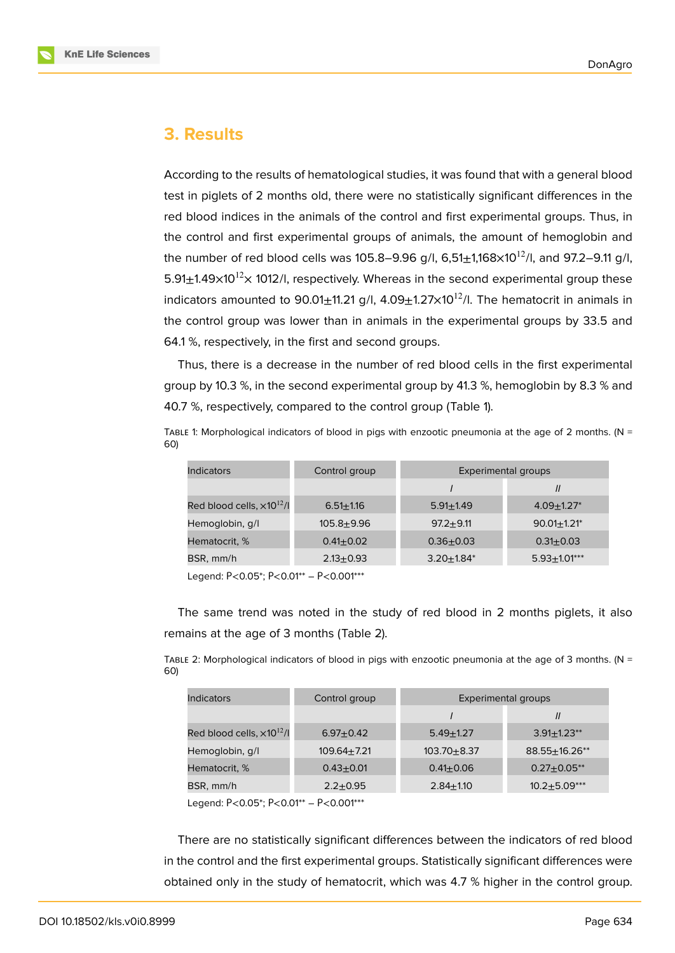

### **3. Results**

According to the results of hematological studies, it was found that with a general blood test in piglets of 2 months old, there were no statistically significant differences in the red blood indices in the animals of the control and first experimental groups. Thus, in the control and first experimental groups of animals, the amount of hemoglobin and the number of red blood cells was 105.8–9.96 g/l, 6,51 $\pm$ 1,168 $\times$ 10<sup>12</sup>/l, and 97.2–9.11 g/l,  $5.91\pm1.49\times10^{12}\times$  1012/l, respectively. Whereas in the second experimental group these indicators amounted to 90.01 $\pm$ 11.21 g/l, 4.09 $\pm$ 1.27 $\times$ 10<sup>12</sup>/l. The hematocrit in animals in the control group was lower than in animals in the experimental groups by 33.5 and 64.1 %, respectively, in the first and second groups.

Thus, there is a decrease in the number of red blood cells in the first experimental group by 10.3 %, in the second experimental group by 41.3 %, hemoglobin by 8.3 % and 40.7 %, respectively, compared to the control group (Table 1).

TABLE 1: Morphological indicators of blood in pigs with enzootic pneumonia at the age of 2 months. ( $N =$ 60)

| Indicators                           | Control group  | Experimental groups |                             |
|--------------------------------------|----------------|---------------------|-----------------------------|
|                                      |                |                     | $\mathcal{U}$               |
| Red blood cells, $\times 10^{12}$ /l | $6.51 + 1.16$  | $5.91 + 1.49$       | $4.09 + 1.27$               |
| Hemoglobin, g/l                      | $105.8 + 9.96$ | $97.2 + 9.11$       | $90.01 + 1.21$ <sup>*</sup> |
| Hematocrit, %                        | $0.41 + 0.02$  | $0.36 + 0.03$       | $0.31 + 0.03$               |
| BSR, mm/h                            | $2.13 + 0.93$  | $3.20 + 1.84*$      | $5.93 \pm 1.01***$          |

Legend: Р<0.05\*; Р<0.01\*\* – Р<0.001\*\*\*

The same trend was noted in the study of red blood in 2 months piglets, it also remains at the age of 3 months (Table 2).

TABLE 2: Morphological indicators of blood in pigs with enzootic pneumonia at the age of 3 months. (N = 60)

| Indicators                            | Control group   | Experimental groups |                  |
|---------------------------------------|-----------------|---------------------|------------------|
|                                       |                 |                     | 11               |
| Red blood cells, x10 <sup>12</sup> /l | $6.97 + 0.42$   | $5.49 + 1.27$       | $3.91 + 1.23$ ** |
| Hemoglobin, g/l                       | $109.64 + 7.21$ | $103.70 + 8.37$     | 88.55+16.26**    |
| Hematocrit, %                         | $0.43 + 0.01$   | $0.41 + 0.06$       | $0.27 + 0.05$ ** |
| BSR, mm/h                             | $2.2 + 0.95$    | $2.84 + 1.10$       | $10.2 + 5.09***$ |

Legend: Р<0.05\*; Р<0.01\*\* – Р<0.001\*\*\*

There are no statistically significant differences between the indicators of red blood in the control and the first experimental groups. Statistically significant differences were obtained only in the study of hematocrit, which was 4.7 % higher in the control group.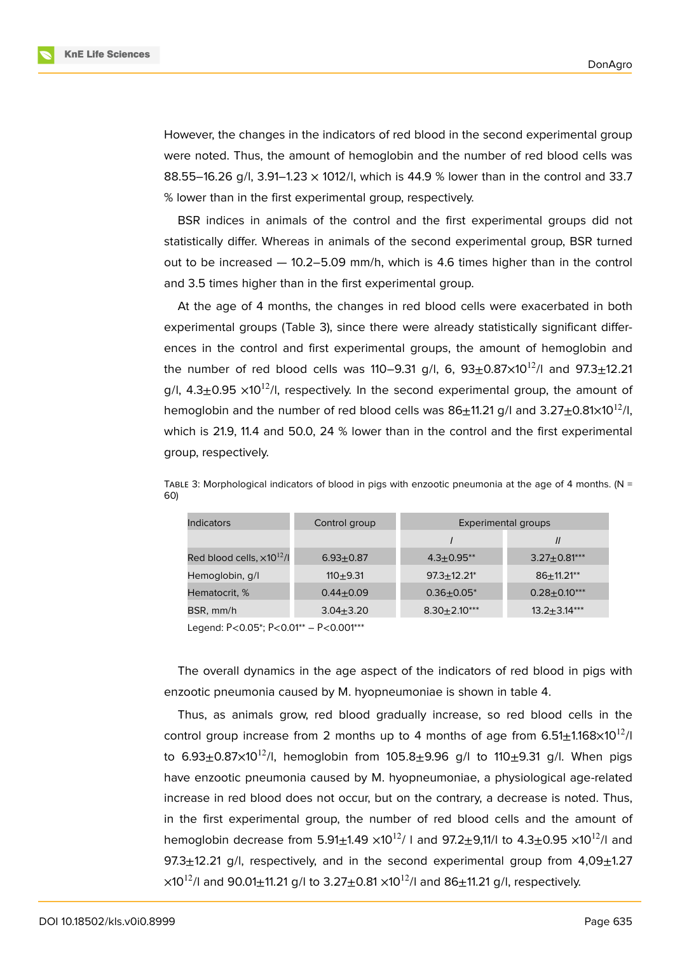

However, the changes in the indicators of red blood in the second experimental group were noted. Thus, the amount of hemoglobin and the number of red blood cells was 88.55–16.26 g/l, 3.91–1.23 × 1012/l, which is 44.9 % lower than in the control and 33.7 % lower than in the first experimental group, respectively.

BSR indices in animals of the control and the first experimental groups did not statistically differ. Whereas in animals of the second experimental group, BSR turned out to be increased — 10.2–5.09 mm/h, which is 4.6 times higher than in the control and 3.5 times higher than in the first experimental group.

At the age of 4 months, the changes in red blood cells were exacerbated in both experimental groups (Table 3), since there were already statistically significant differences in the control and first experimental groups, the amount of hemoglobin and the number of red blood cells was 110–9.31 g/l, 6,  $93\pm0.87\times10^{12}$ /l and  $97.3\pm12.21$ g/l,  $4.3\pm0.95 \times 10^{12}$ /l, respectively. In the second experimental group, the amount of hemoglobin and the number of red blood cells was  $86\pm11.21$  g/l and  $3.27\pm0.81\times10^{12}$ /l, which is 21.9, 11.4 and 50.0, 24 % lower than in the control and the first experimental group, respectively.

| Indicators                           | Control group | Experimental groups         |                    |
|--------------------------------------|---------------|-----------------------------|--------------------|
|                                      |               |                             | $\mathcal{U}$      |
| Red blood cells, $\times 10^{12}$ /l | $6.93 + 0.87$ | $4.3 + 0.95$ **             | $3.27 \pm 0.81***$ |
| Hemoglobin, g/l                      | $110 + 9.31$  | $97.3 + 12.21$ <sup>*</sup> | $86 + 11.21$ **    |
| Hematocrit, %                        | $0.44 + 0.09$ | $0.36 + 0.05^*$             | $0.28 + 0.10***$   |
| BSR, mm/h                            | $3.04 + 3.20$ | $8.30 \pm 2.10***$          | $13.2 \pm 3.14***$ |

TABLE 3: Morphological indicators of blood in pigs with enzootic pneumonia at the age of 4 months. ( $N =$ 60)

Legend: Р<0.05\*; Р<0.01\*\* – Р<0.001\*\*\*

The overall dynamics in the age aspect of the indicators of red blood in pigs with enzootic pneumonia caused by M. hyopneumoniae is shown in table 4.

Thus, as animals grow, red blood gradually increase, so red blood cells in the control group increase from 2 months up to 4 months of age from  $6.51\pm1.168\times10^{12}/I$ to  $6.93 \pm 0.87 \times 10^{12}$ /l, hemoglobin from  $105.8 \pm 9.96$  g/l to  $110 \pm 9.31$  g/l. When pigs have enzootic pneumonia caused by M. hyopneumoniae, a physiological age-related increase in red blood does not occur, but on the contrary, a decrease is noted. Thus, in the first experimental group, the number of red blood cells and the amount of hemoglobin decrease from 5.91 $\pm$ 1.49  $\times$ 10<sup>12</sup>/ I and 97.2 $\pm$ 9,11/I to 4.3 $\pm$ 0.95  $\times$ 10<sup>12</sup>/I and 97.3 $\pm$ 12.21 g/l, respectively, and in the second experimental group from  $4.09\pm$ 1.27  $\times$ 10<sup>12</sup>/l and 90.01 $\pm$ 11.21 g/l to 3.27 $\pm$ 0.81  $\times$ 10<sup>12</sup>/l and 86 $\pm$ 11.21 g/l, respectively.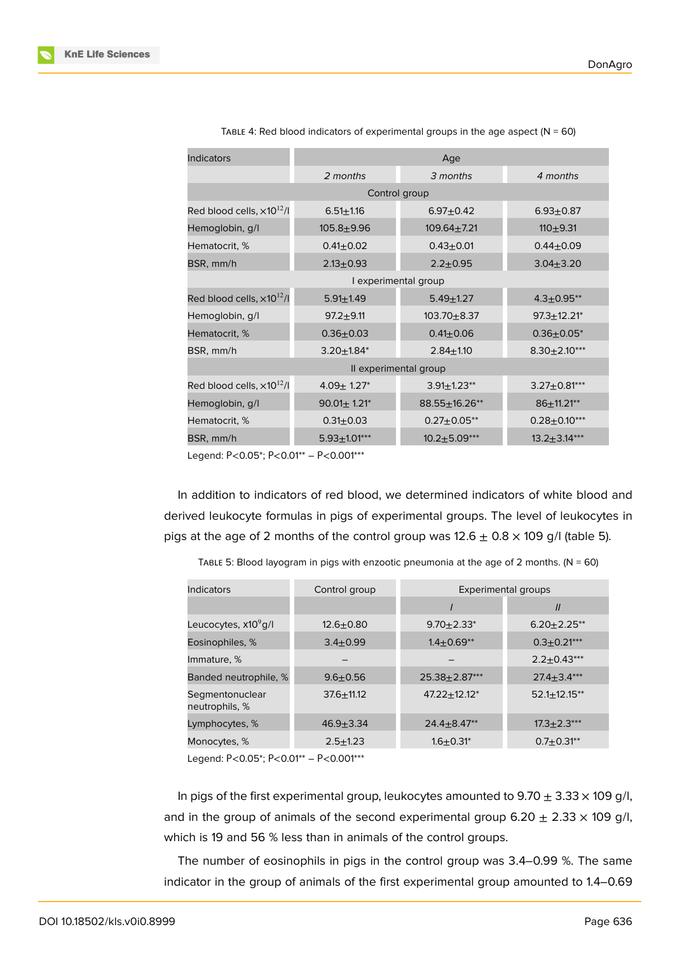| Indicators                           | Age                           |                      |                    |  |
|--------------------------------------|-------------------------------|----------------------|--------------------|--|
|                                      | 2 months                      | 3 months             | 4 months           |  |
|                                      |                               | Control group        |                    |  |
| Red blood cells, $\times 10^{12}$ /I | $6.51 + 1.16$                 | $6.97 + 0.42$        | $6.93 + 0.87$      |  |
| Hemoglobin, g/l                      | $105.8 + 9.96$                | $109.64 + 7.21$      | $110+9.31$         |  |
| Hematocrit, %                        | $0.41 \pm 0.02$               | $0.43 + 0.01$        | $0.44 + 0.09$      |  |
| BSR, mm/h                            | $2.13 \pm 0.93$               | $2.2 + 0.95$         | $3.04 + 3.20$      |  |
|                                      |                               | I experimental group |                    |  |
| Red blood cells, $\times 10^{12}$ /l | $5.91 \pm 1.49$               | $5.49 + 1.27$        | $4.3 \pm 0.95**$   |  |
| Hemoglobin, g/l                      | $97.2 + 9.11$                 | $103.70 + 8.37$      | $97.3 + 12.21*$    |  |
| Hematocrit, %                        | $0.36 + 0.03$                 | $0.41 \pm 0.06$      | $0.36 \pm 0.05^*$  |  |
| BSR, mm/h                            | $3.20 \pm 1.84^*$             | $2.84 + 1.10$        | $8.30 \pm 2.10***$ |  |
| Il experimental group                |                               |                      |                    |  |
| Red blood cells, $\times 10^{12}$ /l | $4.09 \pm 1.27$ *             | $3.91 \pm 1.23**$    | $3.27 \pm 0.81***$ |  |
| Hemoglobin, g/l                      | $90.01 \pm 1.21$ <sup>*</sup> | 88.55±16.26**        | $86 \pm 11.21***$  |  |
| Hematocrit, %                        | $0.31 \pm 0.03$               | $0.27 \pm 0.05$ **   | $0.28 \pm 0.10***$ |  |
| BSR, mm/h                            | $5.93 \pm 1.01***$            | $10.2 + 5.09***$     | $13.2 \pm 3.14***$ |  |

TABLE 4: Red blood indicators of experimental groups in the age aspect ( $N = 60$ )

Legend: Р<0.05\*; Р<0.01\*\* – Р<0.001\*\*\*

In addition to indicators of red blood, we determined indicators of white blood and derived leukocyte formulas in pigs of experimental groups. The level of leukocytes in pigs at the age of 2 months of the control group was  $12.6 \pm 0.8 \times 109$  g/l (table 5).

| Indicators                        | Control group  | Experimental groups |                   |
|-----------------------------------|----------------|---------------------|-------------------|
|                                   |                |                     | $\mathcal{U}$     |
| Leucocytes, x10 <sup>9</sup> g/l  | $12.6 + 0.80$  | $9.70 + 2.33*$      | $6.20 + 2.25$ **  |
| Eosinophiles, %                   | $3.4 + 0.99$   | $1.4 + 0.69**$      | $0.3 + 0.21***$   |
| Immature, %                       |                |                     | $2.2+0.43***$     |
| Banded neutrophile, %             | $9.6 + 0.56$   | 25.38+2.87***       | $27.4 + 3.4***$   |
| Segmentonuclear<br>neutrophils, % | $37.6 + 11.12$ | $47.22 + 12.12^*$   | $52.1 + 12.15$ ** |
| Lymphocytes, %                    | $46.9 + 3.34$  | $24.4 + 8.47**$     | $17.3 + 2.3***$   |
| Monocytes, %                      | $2.5 + 1.23$   | $1.6 + 0.31^*$      | $0.7 + 0.31**$    |

TABLE 5: Blood layogram in pigs with enzootic pneumonia at the age of 2 months. ( $N = 60$ )

Legend: Р<0.05\*; Р<0.01\*\* – Р<0.001\*\*\*

In pigs of the first experimental group, leukocytes amounted to 9.70  $\pm$  3.33  $\times$  109 g/l, and in the group of animals of the second experimental group 6.20  $\pm$  2.33  $\times$  109 g/l, which is 19 and 56 % less than in animals of the control groups.

The number of eosinophils in pigs in the control group was 3.4–0.99 %. The same indicator in the group of animals of the first experimental group amounted to 1.4–0.69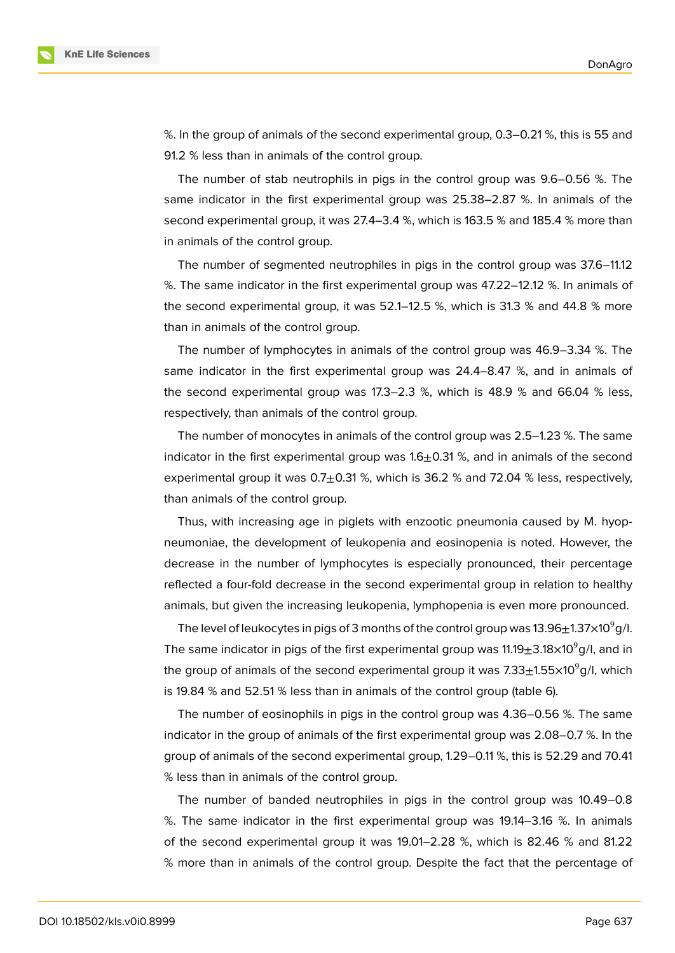

%. In the group of animals of the second experimental group, 0.3–0.21 %, this is 55 and 91.2 % less than in animals of the control group.

The number of stab neutrophils in pigs in the control group was 9.6–0.56 %. The same indicator in the first experimental group was 25.38–2.87 %. In animals of the second experimental group, it was 27.4–3.4 %, which is 163.5 % and 185.4 % more than in animals of the control group.

The number of segmented neutrophiles in pigs in the control group was 37.6–11.12 %. The same indicator in the first experimental group was 47.22–12.12 %. In animals of the second experimental group, it was 52.1–12.5 %, which is 31.3 % and 44.8 % more than in animals of the control group.

The number of lymphocytes in animals of the control group was 46.9–3.34 %. The same indicator in the first experimental group was 24.4–8.47 %, and in animals of the second experimental group was 17.3–2.3 %, which is 48.9 % and 66.04 % less, respectively, than animals of the control group.

The number of monocytes in animals of the control group was 2.5–1.23 %. The same indicator in the first experimental group was  $1.6\pm0.31$  %, and in animals of the second experimental group it was  $0.7\pm0.31$  %, which is 36.2 % and 72.04 % less, respectively, than animals of the control group.

Thus, with increasing age in piglets with enzootic pneumonia caused by M. hyopneumoniae, the development of leukopenia and eosinopenia is noted. However, the decrease in the number of lymphocytes is especially pronounced, their percentage reflected a four-fold decrease in the second experimental group in relation to healthy animals, but given the increasing leukopenia, lymphopenia is even more pronounced.

The level of leukocytes in pigs of 3 months of the control group was  $13.96\pm1.37\times10^{9}$ g/l. The same indicator in pigs of the first experimental group was  $11.19\pm3.18\times10^9$ g/l, and in the group of animals of the second experimental group it was  $7.33\pm1.55\times10^{9}$  g/l, which is 19.84 % and 52.51 % less than in animals of the control group (table 6).

The number of eosinophils in pigs in the control group was 4.36–0.56 %. The same indicator in the group of animals of the first experimental group was 2.08–0.7 %. In the group of animals of the second experimental group, 1.29–0.11 %, this is 52.29 and 70.41 % less than in animals of the control group.

The number of banded neutrophiles in pigs in the control group was 10.49–0.8 %. The same indicator in the first experimental group was 19.14–3.16 %. In animals of the second experimental group it was 19.01–2.28 %, which is 82.46 % and 81.22 % more than in animals of the control group. Despite the fact that the percentage of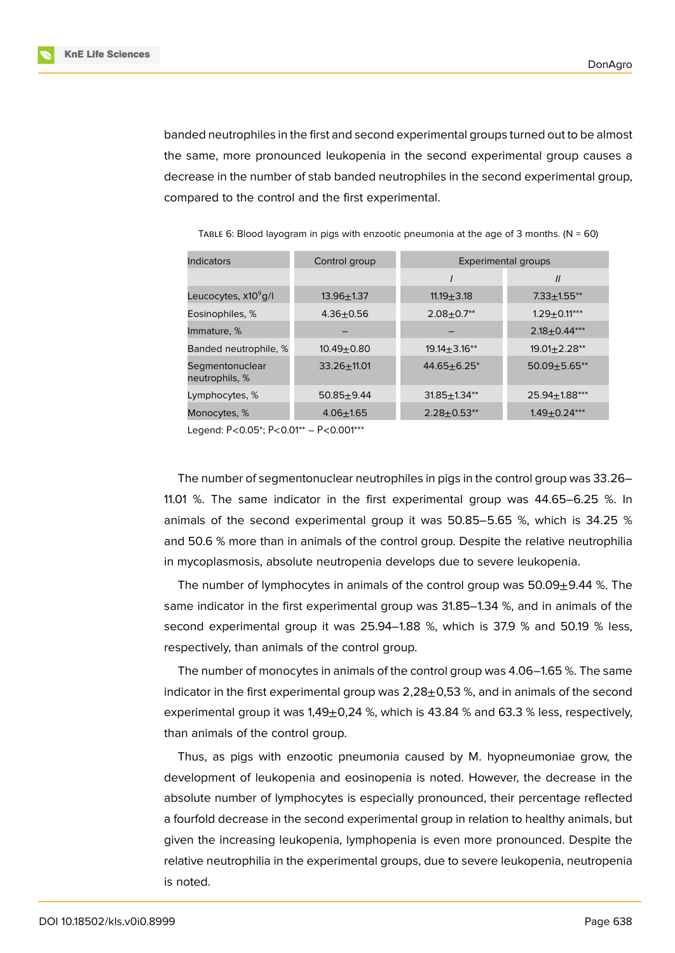banded neutrophiles in the first and second experimental groups turned out to be almost the same, more pronounced leukopenia in the second experimental group causes a decrease in the number of stab banded neutrophiles in the second experimental group, compared to the control and the first experimental.

| <b>Indicators</b>                 | Control group   | Experimental groups         |                    |
|-----------------------------------|-----------------|-----------------------------|--------------------|
|                                   |                 |                             | $\mathcal{U}$      |
| Leucocytes, x10 <sup>9</sup> g/l  | $13.96 + 1.37$  | $11.19 + 3.18$              | $7.33 + 1.55$ **   |
| Eosinophiles, %                   | $4.36 + 0.56$   | $2.08 \pm 0.7**$            | $1.29 \pm 0.11***$ |
| Immature, %                       |                 |                             | $2.18 \pm 0.44***$ |
| Banded neutrophile, %             | $10.49 + 0.80$  | $19.14 + 3.16**$            | $19.01 + 2.28**$   |
| Segmentonuclear<br>neutrophils, % | $33.26 + 11.01$ | $44.65 + 6.25$ <sup>*</sup> | $50.09 + 5.65$ **  |
| Lymphocytes, %                    | $50.85 + 9.44$  | $31.85 + 1.34**$            | 25.94+1.88***      |
| Monocytes, %                      | $4.06 + 1.65$   | $2.28 \pm 0.53**$           | $1.49 \pm 0.24***$ |

TABLE 6: Blood layogram in pigs with enzootic pneumonia at the age of 3 months.  $(N = 60)$ 

Legend: Р<0.05\*; Р<0.01\*\* – Р<0.001\*\*\*

The number of segmentonuclear neutrophiles in pigs in the control group was 33.26– 11.01 %. The same indicator in the first experimental group was 44.65–6.25 %. In animals of the second experimental group it was 50.85–5.65 %, which is 34.25 % and 50.6 % more than in animals of the control group. Despite the relative neutrophilia in mycoplasmosis, absolute neutropenia develops due to severe leukopenia.

The number of lymphocytes in animals of the control group was  $50.09\pm9.44$  %. The same indicator in the first experimental group was 31.85–1.34 %, and in animals of the second experimental group it was 25.94–1.88 %, which is 37.9 % and 50.19 % less, respectively, than animals of the control group.

The number of monocytes in animals of the control group was 4.06–1.65 %. The same indicator in the first experimental group was  $2,28\pm0,53$  %, and in animals of the second experimental group it was  $1,49\pm0,24$  %, which is 43.84 % and 63.3 % less, respectively, than animals of the control group.

Thus, as pigs with enzootic pneumonia caused by M. hyopneumoniae grow, the development of leukopenia and eosinopenia is noted. However, the decrease in the absolute number of lymphocytes is especially pronounced, their percentage reflected a fourfold decrease in the second experimental group in relation to healthy animals, but given the increasing leukopenia, lymphopenia is even more pronounced. Despite the relative neutrophilia in the experimental groups, due to severe leukopenia, neutropenia is noted.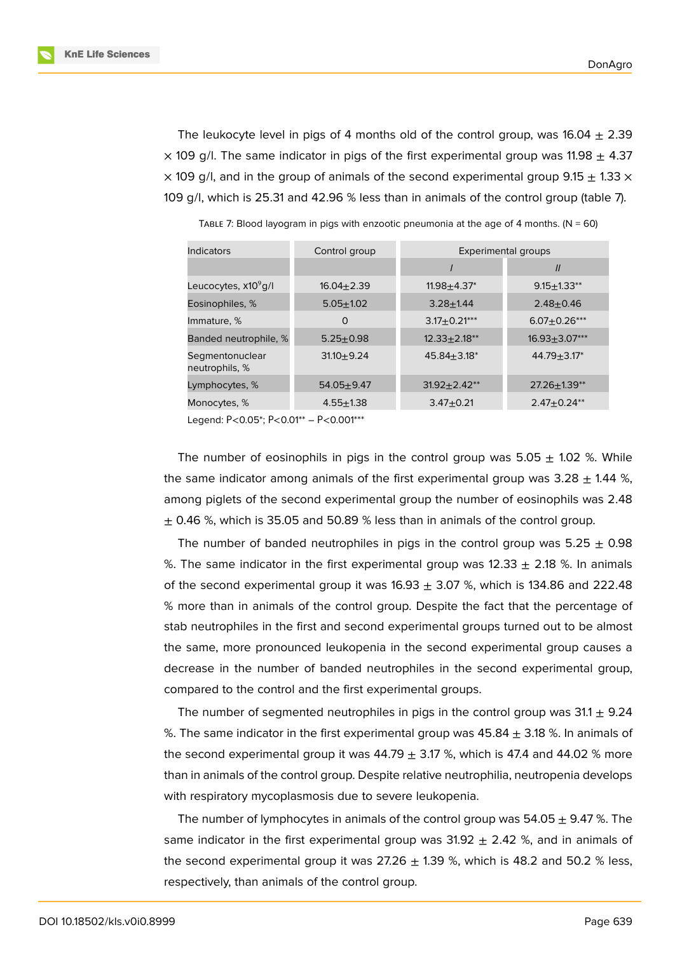The leukocyte level in pigs of 4 months old of the control group, was  $16.04 \pm 2.39$  $\times$  109 g/l. The same indicator in pigs of the first experimental group was 11.98  $+$  4.37  $\times$  109 g/l, and in the group of animals of the second experimental group 9.15  $\pm$  1.33  $\times$ 109 g/l, which is 25.31 and 42.96 % less than in animals of the control group (table 7).

| Indicators                        | Control group  | Experimental groups |                     |
|-----------------------------------|----------------|---------------------|---------------------|
|                                   |                |                     | $\mathcal{U}$       |
| Leucocytes, x10 <sup>9</sup> g/l  | $16.04 + 2.39$ | $11.98 + 4.37*$     | $9.15 + 1.33$ **    |
| Eosinophiles, %                   | $5.05 + 1.02$  | $3.28 + 1.44$       | $2.48 + 0.46$       |
| Immature, %                       | O              | $3.17 + 0.21***$    | $6.07 + 0.26***$    |
| Banded neutrophile, %             | $5.25 + 0.98$  | $12.33 + 2.18**$    | $16.93 \pm 3.07***$ |
| Segmentonuclear<br>neutrophils, % | $31.10 + 9.24$ | $45.84 + 3.18*$     | $44.79 + 3.17*$     |
| Lymphocytes, %                    | $54.05 + 9.47$ | $31.92 + 2.42$ **   | $27.26 \pm 1.39**$  |
| Monocytes, %                      | $4.55 + 1.38$  | $3.47 + 0.21$       | $2.47 + 0.24**$     |

TABLE 7: Blood layogram in pigs with enzootic pneumonia at the age of 4 months.  $(N = 60)$ 

Legend: Р<0.05\*; Р<0.01\*\* – Р<0.001\*\*\*

The number of eosinophils in pigs in the control group was  $5.05 \pm 1.02$  %. While the same indicator among animals of the first experimental group was  $3.28 \pm 1.44$  %, among piglets of the second experimental group the number of eosinophils was 2.48  $\pm$  0.46 %, which is 35.05 and 50.89 % less than in animals of the control group.

The number of banded neutrophiles in pigs in the control group was  $5.25 \pm 0.98$ %. The same indicator in the first experimental group was  $12.33 \pm 2.18$  %. In animals of the second experimental group it was  $16.93 \pm 3.07$  %, which is 134.86 and 222.48 % more than in animals of the control group. Despite the fact that the percentage of stab neutrophiles in the first and second experimental groups turned out to be almost the same, more pronounced leukopenia in the second experimental group causes a decrease in the number of banded neutrophiles in the second experimental group, compared to the control and the first experimental groups.

The number of segmented neutrophiles in pigs in the control group was  $31.1 \pm 9.24$ %. The same indicator in the first experimental group was  $45.84 \pm 3.18$  %. In animals of the second experimental group it was  $44.79 \pm 3.17$  %, which is 47.4 and 44.02 % more than in animals of the control group. Despite relative neutrophilia, neutropenia develops with respiratory mycoplasmosis due to severe leukopenia.

The number of lymphocytes in animals of the control group was  $54.05 \pm 9.47$  %. The same indicator in the first experimental group was  $31.92 \pm 2.42$  %, and in animals of the second experimental group it was  $27.26 \pm 1.39$  %, which is 48.2 and 50.2 % less, respectively, than animals of the control group.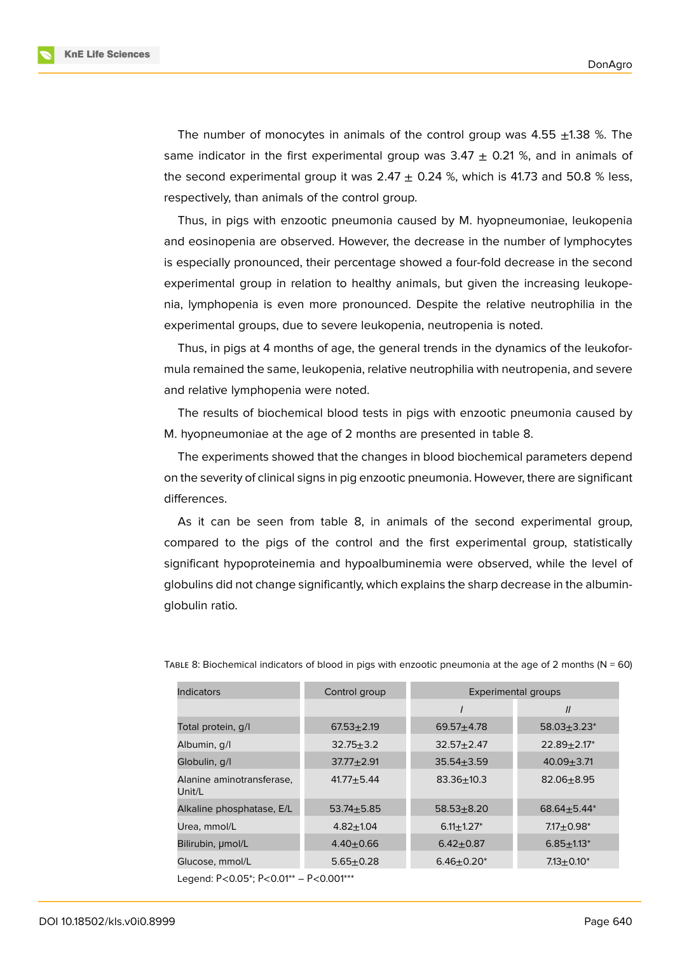The number of monocytes in animals of the control group was  $4.55 \pm 1.38$  %. The same indicator in the first experimental group was  $3.47 + 0.21$ %, and in animals of the second experimental group it was  $2.47 \pm 0.24$  %, which is 41.73 and 50.8 % less, respectively, than animals of the control group.

Thus, in pigs with enzootic pneumonia caused by M. hyopneumoniae, leukopenia and eosinopenia are observed. However, the decrease in the number of lymphocytes is especially pronounced, their percentage showed a four-fold decrease in the second experimental group in relation to healthy animals, but given the increasing leukopenia, lymphopenia is even more pronounced. Despite the relative neutrophilia in the experimental groups, due to severe leukopenia, neutropenia is noted.

Thus, in pigs at 4 months of age, the general trends in the dynamics of the leukoformula remained the same, leukopenia, relative neutrophilia with neutropenia, and severe and relative lymphopenia were noted.

The results of biochemical blood tests in pigs with enzootic pneumonia caused by M. hyopneumoniae at the age of 2 months are presented in table 8.

The experiments showed that the changes in blood biochemical parameters depend on the severity of clinical signs in pig enzootic pneumonia. However, there are significant differences.

As it can be seen from table 8, in animals of the second experimental group, compared to the pigs of the control and the first experimental group, statistically significant hypoproteinemia and hypoalbuminemia were observed, while the level of globulins did not change significantly, which explains the sharp decrease in the albuminglobulin ratio.

| Indicators                             | Control group   | Experimental groups          |                   |
|----------------------------------------|-----------------|------------------------------|-------------------|
|                                        |                 |                              | $\mathcal{U}$     |
| Total protein, g/l                     | $67.53 + 2.19$  | $69.57 + 4.78$               | $58.03 + 3.23*$   |
| Albumin, g/l                           | $32.75 + 3.2$   | $32.57 + 2.47$               | $22.89 + 2.17*$   |
| Globulin, g/l                          | $37.77 + 2.91$  | $35.54 + 3.59$               | $40.09 + 3.71$    |
| Alanine aminotransferase,<br>Unit/L    | $41.77 + 5.44$  | $83.36 + 10.3$               | $82.06 + 8.95$    |
| Alkaline phosphatase, E/L              | $53.74 + 5.85$  | $58.53 + 8.20$               | $68.64 + 5.44*$   |
| Urea, mmol/L                           | $4.82 + 1.04$   | $6.11 \pm 1.27$ <sup>*</sup> | $7.17 \pm 0.98^*$ |
| Bilirubin, µmol/L                      | $4.40 + 0.66$   | $6.42 \pm 0.87$              | $6.85 \pm 1.13^*$ |
| Glucose, mmol/L                        | $5.65 \pm 0.28$ | $6.46 \pm 0.20^*$            | $7.13 \pm 0.10^*$ |
| Legend: P<0.05*; P<0.01** - P<0.001*** |                 |                              |                   |

TABLE 8: Biochemical indicators of blood in pigs with enzootic pneumonia at the age of 2 months ( $N = 60$ )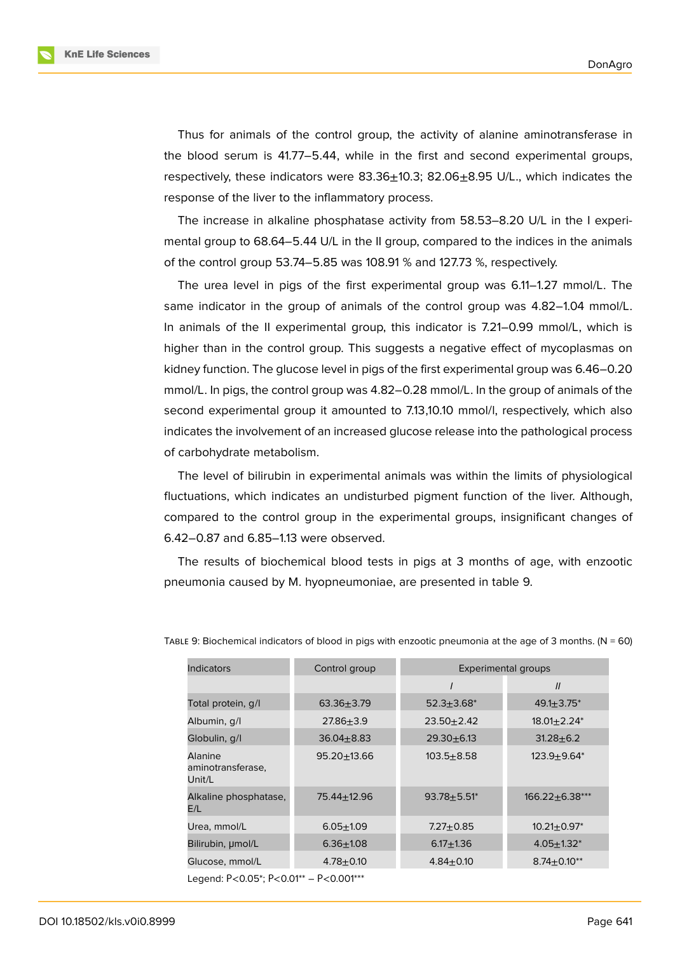Thus for animals of the control group, the activity of alanine aminotransferase in the blood serum is 41.77–5.44, while in the first and second experimental groups, respectively, these indicators were 83.36±10.3; 82.06±8.95 U/L., which indicates the response of the liver to the inflammatory process.

The increase in alkaline phosphatase activity from 58.53–8.20 U/L in the I experimental group to 68.64–5.44 U/L in the II group, compared to the indices in the animals of the control group 53.74–5.85 was 108.91 % and 127.73 %, respectively.

The urea level in pigs of the first experimental group was 6.11–1.27 mmol/L. The same indicator in the group of animals of the control group was 4.82–1.04 mmol/L. In animals of the II experimental group, this indicator is 7.21–0.99 mmol/L, which is higher than in the control group. This suggests a negative effect of mycoplasmas on kidney function. The glucose level in pigs of the first experimental group was 6.46–0.20 mmol/L. In pigs, the control group was 4.82–0.28 mmol/L. In the group of animals of the second experimental group it amounted to 7.13,10.10 mmol/l, respectively, which also indicates the involvement of an increased glucose release into the pathological process of carbohydrate metabolism.

The level of bilirubin in experimental animals was within the limits of physiological fluctuations, which indicates an undisturbed pigment function of the liver. Although, compared to the control group in the experimental groups, insignificant changes of 6.42–0.87 and 6.85–1.13 were observed.

The results of biochemical blood tests in pigs at 3 months of age, with enzootic pneumonia caused by M. hyopneumoniae, are presented in table 9.

| <b>Indicators</b>                      | Control group    | Experimental groups |                               |
|----------------------------------------|------------------|---------------------|-------------------------------|
|                                        |                  |                     | $\mathcal{U}$                 |
| Total protein, q/l                     | $63.36 + 3.79$   | $52.3 + 3.68*$      | $49.1 \pm 3.75^*$             |
| Albumin, g/l                           | $27.86 \pm 3.9$  | $23.50 + 2.42$      | $18.01 \pm 2.24$ <sup>*</sup> |
| Globulin, g/l                          | $36.04 \pm 8.83$ | $29.30 + 6.13$      | $31.28 + 6.2$                 |
| Alanine<br>aminotransferase,<br>Unit/L | $95.20 + 13.66$  | $103.5 + 8.58$      | $123.9 + 9.64*$               |
| Alkaline phosphatase,<br>E/L           | 75.44±12.96      | $93.78 + 5.51*$     | $166.22 + 6.38***$            |
| Urea, mmol/L                           | $6.05 + 1.09$    | $7.27 \pm 0.85$     | $10.21 \pm 0.97^*$            |
| Bilirubin, µmol/L                      | $6.36 + 1.08$    | $6.17 + 1.36$       | $4.05 + 1.32*$                |
| Glucose, mmol/L                        | $4.78 + 0.10$    | $4.84 \pm 0.10$     | $8.74 \pm 0.10^{**}$          |
| Legend: P<0.05*; P<0.01** - P<0.001*** |                  |                     |                               |

TABLE 9: Biochemical indicators of blood in pigs with enzootic pneumonia at the age of 3 months. ( $N = 60$ )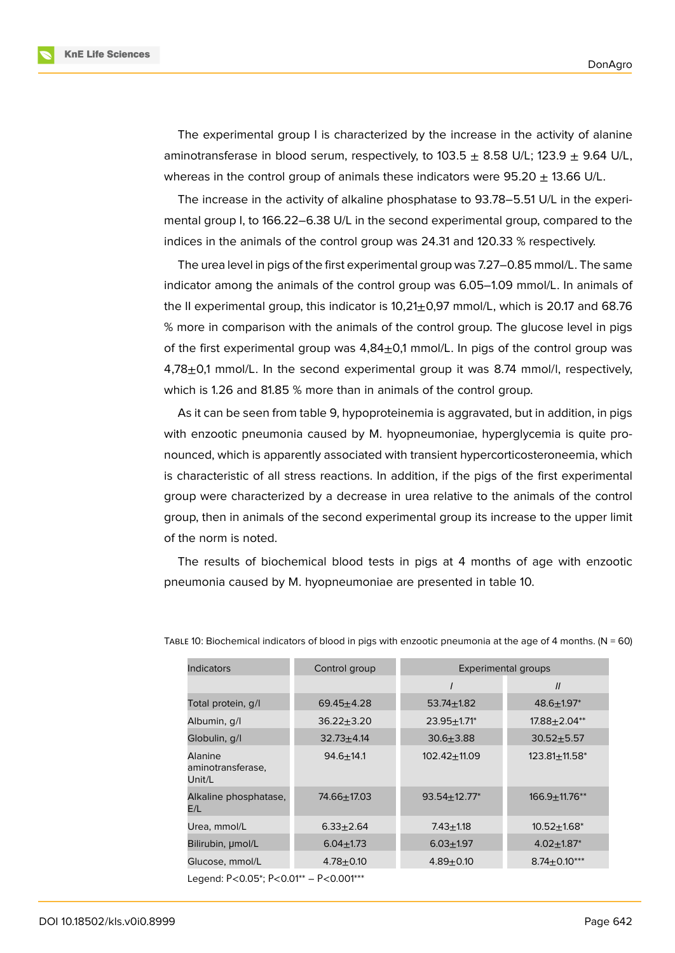The experimental group I is characterized by the increase in the activity of alanine aminotransferase in blood serum, respectively, to  $103.5 + 8.58$  U/L;  $123.9 + 9.64$  U/L. whereas in the control group of animals these indicators were  $95.20 \pm 13.66$  U/L.

The increase in the activity of alkaline phosphatase to 93.78–5.51 U/L in the experimental group I, to 166.22–6.38 U/L in the second experimental group, compared to the indices in the animals of the control group was 24.31 and 120.33 % respectively.

The urea level in pigs of the first experimental group was 7.27–0.85 mmol/L. The same indicator among the animals of the control group was 6.05–1.09 mmol/L. In animals of the II experimental group, this indicator is  $10,21\pm0,97$  mmol/L, which is 20.17 and 68.76 % more in comparison with the animals of the control group. The glucose level in pigs of the first experimental group was  $4,84\pm0.1$  mmol/L. In pigs of the control group was  $4,78\pm0.1$  mmol/L. In the second experimental group it was 8.74 mmol/l, respectively, which is 1.26 and 81.85 % more than in animals of the control group.

As it can be seen from table 9, hypoproteinemia is aggravated, but in addition, in pigs with enzootic pneumonia caused by M. hyopneumoniae, hyperglycemia is quite pronounced, which is apparently associated with transient hypercorticosteroneemia, which is characteristic of all stress reactions. In addition, if the pigs of the first experimental group were characterized by a decrease in urea relative to the animals of the control group, then in animals of the second experimental group its increase to the upper limit of the norm is noted.

The results of biochemical blood tests in pigs at 4 months of age with enzootic pneumonia caused by M. hyopneumoniae are presented in table 10.

| <b>Indicators</b>                             | Control group    | <b>Experimental groups</b>  |                             |
|-----------------------------------------------|------------------|-----------------------------|-----------------------------|
|                                               |                  |                             | $\mathcal{U}$               |
| Total protein, q/l                            | $69.45 + 4.28$   | $53.74 \pm 1.82$            | $48.6 \pm 1.97^*$           |
| Albumin, g/l                                  | $36.22 \pm 3.20$ | $23.95 + 1.71$ <sup>*</sup> | $17.88 \pm 2.04^{**}$       |
| Globulin, g/l                                 | $32.73 + 4.14$   | $30.6 + 3.88$               | $30.52 + 5.57$              |
| <b>Alanine</b><br>aminotransferase,<br>Unit/L | $94.6 + 14.1$    | $102.42 + 11.09$            | $123.81 \pm 11.58^*$        |
| Alkaline phosphatase,<br>E/L                  | 74.66±17.03      | $93.54 \pm 12.77^*$         | $166.9 + 11.76**$           |
| Urea, mmol/L                                  | $6.33 \pm 2.64$  | $7.43 + 1.18$               | $10.52 + 1.68$ <sup>*</sup> |
| Bilirubin, µmol/L                             | $6.04 \pm 1.73$  | $6.03 + 1.97$               | $4.02 + 1.87$ <sup>*</sup>  |
| Glucose, mmol/L                               | $4.78 + 0.10$    | $4.89 + 0.10$               | $8.74 \pm 0.10***$          |
| Legend: P<0.05*; P<0.01** - P<0.001***        |                  |                             |                             |

TABLE 10: Biochemical indicators of blood in pigs with enzootic pneumonia at the age of 4 months. ( $N = 60$ )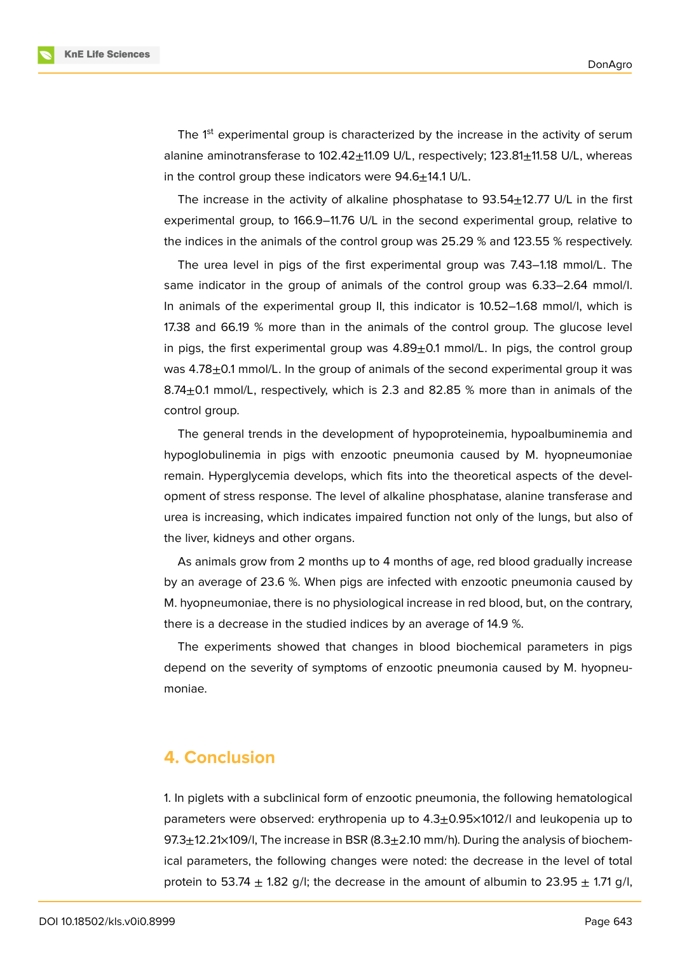The  $1<sup>st</sup>$  experimental group is characterized by the increase in the activity of serum alanine aminotransferase to 102.42±11.09 U/L, respectively; 123.81±11.58 U/L, whereas in the control group these indicators were  $94.6 \pm 14.1$  U/L.

The increase in the activity of alkaline phosphatase to  $93.54\pm12.77$  U/L in the first experimental group, to 166.9–11.76 U/L in the second experimental group, relative to the indices in the animals of the control group was 25.29 % and 123.55 % respectively.

The urea level in pigs of the first experimental group was 7.43–1.18 mmol/L. The same indicator in the group of animals of the control group was 6.33–2.64 mmol/l. In animals of the experimental group II, this indicator is 10.52–1.68 mmol/l, which is 17.38 and 66.19 % more than in the animals of the control group. The glucose level in pigs, the first experimental group was 4.89±0.1 mmol/L. In pigs, the control group was  $4.78\pm0.1$  mmol/L. In the group of animals of the second experimental group it was 8.74±0.1 mmol/L, respectively, which is 2.3 and 82.85 % more than in animals of the control group.

The general trends in the development of hypoproteinemia, hypoalbuminemia and hypoglobulinemia in pigs with enzootic pneumonia caused by M. hyopneumoniae remain. Hyperglycemia develops, which fits into the theoretical aspects of the development of stress response. The level of alkaline phosphatase, alanine transferase and urea is increasing, which indicates impaired function not only of the lungs, but also of the liver, kidneys and other organs.

As animals grow from 2 months up to 4 months of age, red blood gradually increase by an average of 23.6 %. When pigs are infected with enzootic pneumonia caused by M. hyopneumoniae, there is no physiological increase in red blood, but, on the contrary, there is a decrease in the studied indices by an average of 14.9 %.

The experiments showed that changes in blood biochemical parameters in pigs depend on the severity of symptoms of enzootic pneumonia caused by M. hyopneumoniae.

### **4. Conclusion**

1. In piglets with a subclinical form of enzootic pneumonia, the following hematological parameters were observed: erythropenia up to 4.3±0.95×1012/l and leukopenia up to 97.3 $\pm$ 12.21×109/l, The increase in BSR (8.3 $\pm$ 2.10 mm/h). During the analysis of biochemical parameters, the following changes were noted: the decrease in the level of total protein to 53.74  $\pm$  1.82 g/l; the decrease in the amount of albumin to 23.95  $\pm$  1.71 g/l,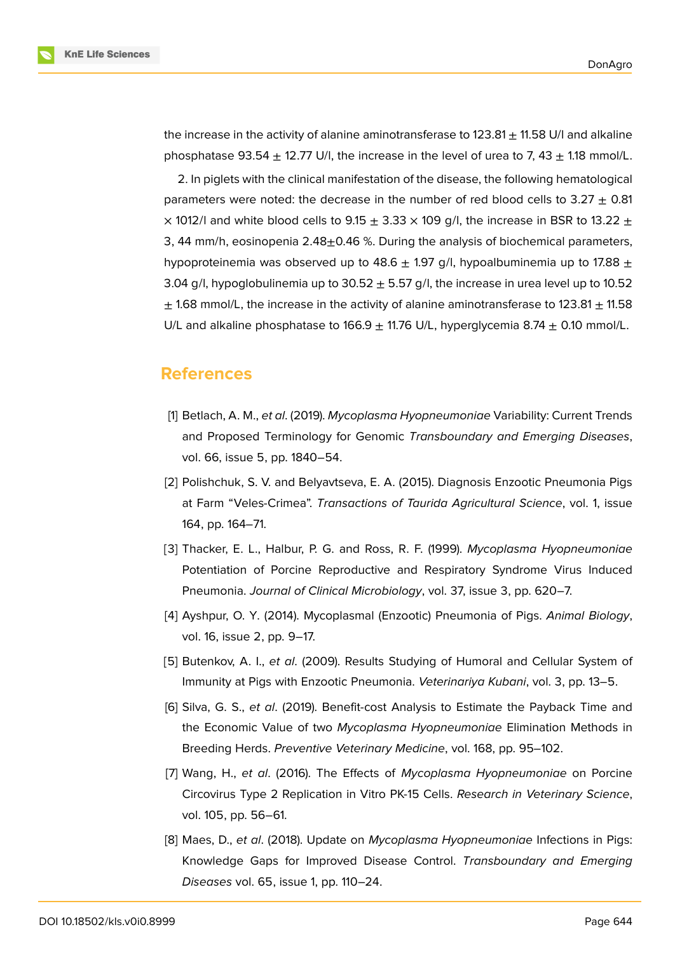the increase in the activity of alanine aminotransferase to  $123.81 \pm 11.58$  U/l and alkaline phosphatase  $93.54 + 12.77$  U/l, the increase in the level of urea to 7,  $43 + 1.18$  mmol/L.

2. In piglets with the clinical manifestation of the disease, the following hematological parameters were noted: the decrease in the number of red blood cells to  $3.27 \pm 0.81$  $\times$  1012/l and white blood cells to 9.15  $\pm$  3.33  $\times$  109 g/l, the increase in BSR to 13.22  $\pm$ 3, 44 mm/h, eosinopenia  $2.48\pm0.46$  %. During the analysis of biochemical parameters, hypoproteinemia was observed up to 48.6  $\pm$  1.97 g/l, hypoalbuminemia up to 17.88  $\pm$ 3.04 g/l, hypoglobulinemia up to  $30.52 \pm 5.57$  g/l, the increase in urea level up to 10.52  $\pm$  1.68 mmol/L, the increase in the activity of alanine aminotransferase to 123.81  $\pm$  11.58 U/L and alkaline phosphatase to 166.9  $\pm$  11.76 U/L, hyperglycemia 8.74  $\pm$  0.10 mmol/L.

### **References**

- <span id="page-12-0"></span>[1] Betlach, A. M., *et al*. (2019). *Mycoplasma Hyopneumoniae* Variability: Current Trends and Proposed Terminology for Genomic *Transboundary and Emerging Diseases*, vol. 66, issue 5, pp. 1840–54.
- <span id="page-12-1"></span>[2] Polishchuk, S. V. and Belyavtseva, E. A. (2015). Diagnosis Enzootic Pneumonia Pigs at Farm "Veles-Crimea". *Transactions of Taurida Agricultural Science*, vol. 1, issue 164, pp. 164–71.
- [3] Thacker, E. L., Halbur, P. G. and Ross, R. F. (1999). *Mycoplasma Hyopneumoniae* Potentiation of Porcine Reproductive and Respiratory Syndrome Virus Induced Pneumonia. *Journal of Clinical Microbiology*, vol. 37, issue 3, pp. 620–7.
- [4] Ayshpur, O. Y. (2014). Mycoplasmal (Enzootic) Pneumonia of Pigs. *Animal Biology*, vol. 16, issue 2, pp. 9–17.
- [5] Butenkov, A. I., *et al*. (2009). Results Studying of Humoral and Cellular System of Immunity at Pigs with Enzootic Pneumonia. *Veterinariya Kubani*, vol. 3, pp. 13–5.
- [6] Silva, G. S., *et al*. (2019). Benefit-cost Analysis to Estimate the Payback Time and the Economic Value of two *Mycoplasma Hyopneumoniae* Elimination Methods in Breeding Herds. *Preventive Veterinary Medicine*, vol. 168, pp. 95–102.
- [7] Wang, H., *et al*. (2016). The Effects of *Mycoplasma Hyopneumoniae* on Porcine Circovirus Type 2 Replication in Vitro PK-15 Cells. *Research in Veterinary Science*, vol. 105, pp. 56–61.
- [8] Maes, D., *et al*. (2018). Update on *Mycoplasma Hyopneumoniae* Infections in Pigs: Knowledge Gaps for Improved Disease Control. *Transboundary and Emerging Diseases* vol. 65, issue 1, pp. 110–24.